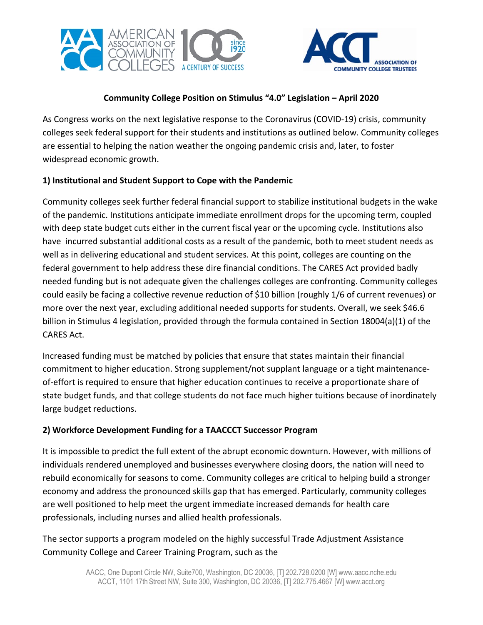



# **Community College Position on Stimulus "4.0" Legislation – April 2020**

As Congress works on the next legislative response to the Coronavirus (COVID-19) crisis, community colleges seek federal support for their students and institutions as outlined below. Community colleges are essential to helping the nation weather the ongoing pandemic crisis and, later, to foster widespread economic growth.

# **1) Institutional and Student Support to Cope with the Pandemic**

Community colleges seek further federal financial support to stabilize institutional budgets in the wake of the pandemic. Institutions anticipate immediate enrollment drops for the upcoming term, coupled with deep state budget cuts either in the current fiscal year or the upcoming cycle. Institutions also have incurred substantial additional costs as a result of the pandemic, both to meet student needs as well as in delivering educational and student services. At this point, colleges are counting on the federal government to help address these dire financial conditions. The CARES Act provided badly needed funding but is not adequate given the challenges colleges are confronting. Community colleges could easily be facing a collective revenue reduction of \$10 billion (roughly 1/6 of current revenues) or more over the next year, excluding additional needed supports for students. Overall, we seek \$46.6 billion in Stimulus 4 legislation, provided through the formula contained in Section 18004(a)(1) of the CARES Act.

Increased funding must be matched by policies that ensure that states maintain their financial commitment to higher education. Strong supplement/not supplant language or a tight maintenanceof-effort is required to ensure that higher education continues to receive a proportionate share of state budget funds, and that college students do not face much higher tuitions because of inordinately large budget reductions.

### **2) Workforce Development Funding for a TAACCCT Successor Program**

It is impossible to predict the full extent of the abrupt economic downturn. However, with millions of individuals rendered unemployed and businesses everywhere closing doors, the nation will need to rebuild economically for seasons to come. Community colleges are critical to helping build a stronger economy and address the pronounced skills gap that has emerged. Particularly, community colleges are well positioned to help meet the urgent immediate increased demands for health care professionals, including nurses and allied health professionals.

The sector supports a program modeled on the highly successful Trade Adjustment Assistance Community College and Career Training Program, such as the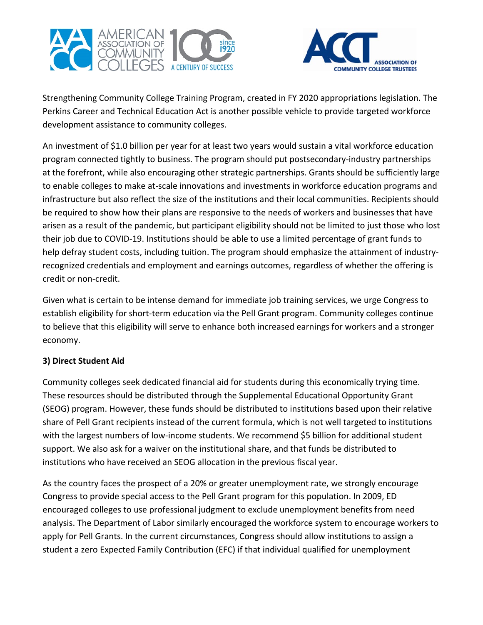



Strengthening Community College Training Program, created in FY 2020 appropriations legislation. The Perkins Career and Technical Education Act is another possible vehicle to provide targeted workforce development assistance to community colleges.

An investment of \$1.0 billion per year for at least two years would sustain a vital workforce education program connected tightly to business. The program should put postsecondary-industry partnerships at the forefront, while also encouraging other strategic partnerships. Grants should be sufficiently large to enable colleges to make at-scale innovations and investments in workforce education programs and infrastructure but also reflect the size of the institutions and their local communities. Recipients should be required to show how their plans are responsive to the needs of workers and businesses that have arisen as a result of the pandemic, but participant eligibility should not be limited to just those who lost their job due to COVID-19. Institutions should be able to use a limited percentage of grant funds to help defray student costs, including tuition. The program should emphasize the attainment of industryrecognized credentials and employment and earnings outcomes, regardless of whether the offering is credit or non-credit.

Given what is certain to be intense demand for immediate job training services, we urge Congress to establish eligibility for short-term education via the Pell Grant program. Community colleges continue to believe that this eligibility will serve to enhance both increased earnings for workers and a stronger economy.

### **3) Direct Student Aid**

Community colleges seek dedicated financial aid for students during this economically trying time. These resources should be distributed through the Supplemental Educational Opportunity Grant (SEOG) program. However, these funds should be distributed to institutions based upon their relative share of Pell Grant recipients instead of the current formula, which is not well targeted to institutions with the largest numbers of low-income students. We recommend \$5 billion for additional student support. We also ask for a waiver on the institutional share, and that funds be distributed to institutions who have received an SEOG allocation in the previous fiscal year.

As the country faces the prospect of a 20% or greater unemployment rate, we strongly encourage Congress to provide special access to the Pell Grant program for this population. In 2009, ED encouraged colleges to use professional judgment to exclude unemployment benefits from need analysis. The Department of Labor similarly encouraged the workforce system to encourage workers to apply for Pell Grants. In the current circumstances, Congress should allow institutions to assign a student a zero Expected Family Contribution (EFC) if that individual qualified for unemployment